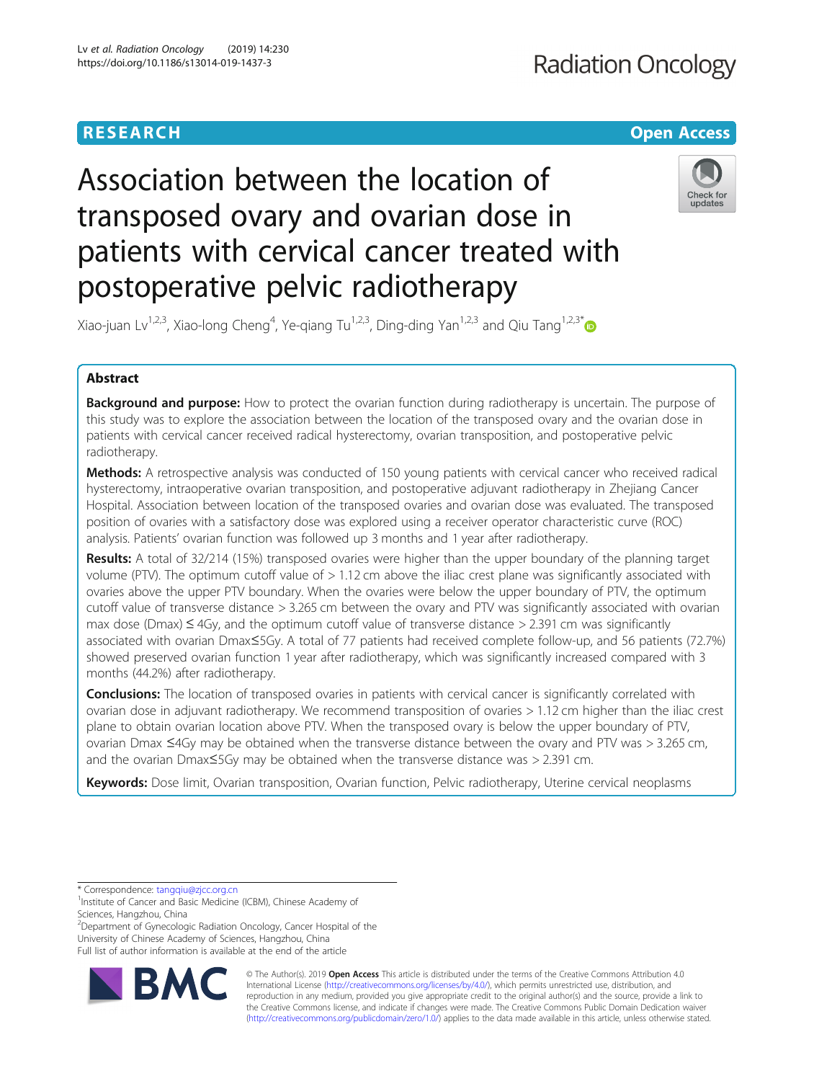## **RESEARCH CHE Open Access**

# Association between the location of transposed ovary and ovarian dose in patients with cervical cancer treated with postoperative pelvic radiotherapy



Xiao-juan Lv<sup>1,2,3</sup>, Xiao-long Cheng<sup>4</sup>, Ye-qiang Tu<sup>1,2,3</sup>, Ding-ding Yan<sup>1,2,3</sup> and Qiu Tang<sup>1,2,3\*</sup>

## Abstract

Background and purpose: How to protect the ovarian function during radiotherapy is uncertain. The purpose of this study was to explore the association between the location of the transposed ovary and the ovarian dose in patients with cervical cancer received radical hysterectomy, ovarian transposition, and postoperative pelvic radiotherapy.

Methods: A retrospective analysis was conducted of 150 young patients with cervical cancer who received radical hysterectomy, intraoperative ovarian transposition, and postoperative adjuvant radiotherapy in Zhejiang Cancer Hospital. Association between location of the transposed ovaries and ovarian dose was evaluated. The transposed position of ovaries with a satisfactory dose was explored using a receiver operator characteristic curve (ROC) analysis. Patients' ovarian function was followed up 3 months and 1 year after radiotherapy.

Results: A total of 32/214 (15%) transposed ovaries were higher than the upper boundary of the planning target volume (PTV). The optimum cutoff value of > 1.12 cm above the iliac crest plane was significantly associated with ovaries above the upper PTV boundary. When the ovaries were below the upper boundary of PTV, the optimum cutoff value of transverse distance > 3.265 cm between the ovary and PTV was significantly associated with ovarian max dose (Dmax)  $\leq$  4Gy, and the optimum cutoff value of transverse distance > 2.391 cm was significantly associated with ovarian Dmax≤5Gy. A total of 77 patients had received complete follow-up, and 56 patients (72.7%) showed preserved ovarian function 1 year after radiotherapy, which was significantly increased compared with 3 months (44.2%) after radiotherapy.

**Conclusions:** The location of transposed ovaries in patients with cervical cancer is significantly correlated with ovarian dose in adjuvant radiotherapy. We recommend transposition of ovaries > 1.12 cm higher than the iliac crest plane to obtain ovarian location above PTV. When the transposed ovary is below the upper boundary of PTV, ovarian Dmax ≤4Gy may be obtained when the transverse distance between the ovary and PTV was > 3.265 cm, and the ovarian Dmax≤5Gy may be obtained when the transverse distance was > 2.391 cm.

Keywords: Dose limit, Ovarian transposition, Ovarian function, Pelvic radiotherapy, Uterine cervical neoplasms

<sup>2</sup>Department of Gynecologic Radiation Oncology, Cancer Hospital of the University of Chinese Academy of Sciences, Hangzhou, China





© The Author(s). 2019 **Open Access** This article is distributed under the terms of the Creative Commons Attribution 4.0 International License [\(http://creativecommons.org/licenses/by/4.0/](http://creativecommons.org/licenses/by/4.0/)), which permits unrestricted use, distribution, and reproduction in any medium, provided you give appropriate credit to the original author(s) and the source, provide a link to the Creative Commons license, and indicate if changes were made. The Creative Commons Public Domain Dedication waiver [\(http://creativecommons.org/publicdomain/zero/1.0/](http://creativecommons.org/publicdomain/zero/1.0/)) applies to the data made available in this article, unless otherwise stated.

<sup>\*</sup> Correspondence: [tangqiu@zjcc.org.cn](mailto:tangqiu@zjcc.org.cn) <sup>1</sup>

<sup>&</sup>lt;sup>1</sup> Institute of Cancer and Basic Medicine (ICBM), Chinese Academy of Sciences, Hangzhou, China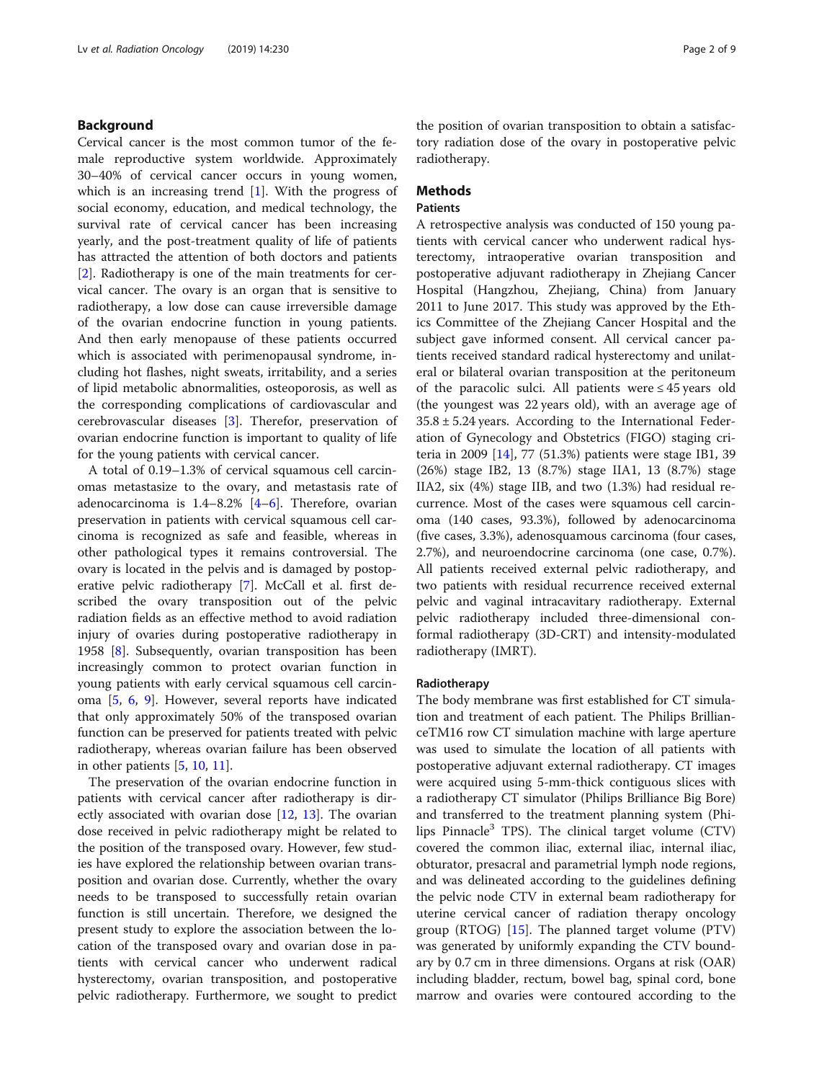## Background

Cervical cancer is the most common tumor of the female reproductive system worldwide. Approximately 30–40% of cervical cancer occurs in young women, which is an increasing trend [\[1](#page-7-0)]. With the progress of social economy, education, and medical technology, the survival rate of cervical cancer has been increasing yearly, and the post-treatment quality of life of patients has attracted the attention of both doctors and patients [[2\]](#page-7-0). Radiotherapy is one of the main treatments for cervical cancer. The ovary is an organ that is sensitive to radiotherapy, a low dose can cause irreversible damage of the ovarian endocrine function in young patients. And then early menopause of these patients occurred which is associated with perimenopausal syndrome, including hot flashes, night sweats, irritability, and a series of lipid metabolic abnormalities, osteoporosis, as well as the corresponding complications of cardiovascular and cerebrovascular diseases [\[3](#page-7-0)]. Therefor, preservation of ovarian endocrine function is important to quality of life for the young patients with cervical cancer.

A total of 0.19–1.3% of cervical squamous cell carcinomas metastasize to the ovary, and metastasis rate of adenocarcinoma is 1.4–8.2% [\[4](#page-7-0)–[6\]](#page-7-0). Therefore, ovarian preservation in patients with cervical squamous cell carcinoma is recognized as safe and feasible, whereas in other pathological types it remains controversial. The ovary is located in the pelvis and is damaged by postoperative pelvic radiotherapy [\[7](#page-7-0)]. McCall et al. first described the ovary transposition out of the pelvic radiation fields as an effective method to avoid radiation injury of ovaries during postoperative radiotherapy in 1958 [\[8](#page-7-0)]. Subsequently, ovarian transposition has been increasingly common to protect ovarian function in young patients with early cervical squamous cell carcinoma [\[5](#page-7-0), [6,](#page-7-0) [9\]](#page-7-0). However, several reports have indicated that only approximately 50% of the transposed ovarian function can be preserved for patients treated with pelvic radiotherapy, whereas ovarian failure has been observed in other patients [\[5](#page-7-0), [10](#page-7-0), [11](#page-7-0)].

The preservation of the ovarian endocrine function in patients with cervical cancer after radiotherapy is directly associated with ovarian dose [[12](#page-7-0), [13](#page-7-0)]. The ovarian dose received in pelvic radiotherapy might be related to the position of the transposed ovary. However, few studies have explored the relationship between ovarian transposition and ovarian dose. Currently, whether the ovary needs to be transposed to successfully retain ovarian function is still uncertain. Therefore, we designed the present study to explore the association between the location of the transposed ovary and ovarian dose in patients with cervical cancer who underwent radical hysterectomy, ovarian transposition, and postoperative pelvic radiotherapy. Furthermore, we sought to predict

the position of ovarian transposition to obtain a satisfactory radiation dose of the ovary in postoperative pelvic radiotherapy.

## Methods

## Patients

A retrospective analysis was conducted of 150 young patients with cervical cancer who underwent radical hysterectomy, intraoperative ovarian transposition and postoperative adjuvant radiotherapy in Zhejiang Cancer Hospital (Hangzhou, Zhejiang, China) from January 2011 to June 2017. This study was approved by the Ethics Committee of the Zhejiang Cancer Hospital and the subject gave informed consent. All cervical cancer patients received standard radical hysterectomy and unilateral or bilateral ovarian transposition at the peritoneum of the paracolic sulci. All patients were  $\leq$  45 years old (the youngest was 22 years old), with an average age of  $35.8 \pm 5.24$  years. According to the International Federation of Gynecology and Obstetrics (FIGO) staging criteria in 2009 [\[14](#page-7-0)], 77 (51.3%) patients were stage IB1, 39 (26%) stage IB2, 13 (8.7%) stage IIA1, 13 (8.7%) stage IIA2, six (4%) stage IIB, and two (1.3%) had residual recurrence. Most of the cases were squamous cell carcinoma (140 cases, 93.3%), followed by adenocarcinoma (five cases, 3.3%), adenosquamous carcinoma (four cases, 2.7%), and neuroendocrine carcinoma (one case, 0.7%). All patients received external pelvic radiotherapy, and two patients with residual recurrence received external pelvic and vaginal intracavitary radiotherapy. External pelvic radiotherapy included three-dimensional conformal radiotherapy (3D-CRT) and intensity-modulated radiotherapy (IMRT).

#### Radiotherapy

The body membrane was first established for CT simulation and treatment of each patient. The Philips BrillianceTM16 row CT simulation machine with large aperture was used to simulate the location of all patients with postoperative adjuvant external radiotherapy. CT images were acquired using 5-mm-thick contiguous slices with a radiotherapy CT simulator (Philips Brilliance Big Bore) and transferred to the treatment planning system (Philips Pinnacle $3$  TPS). The clinical target volume (CTV) covered the common iliac, external iliac, internal iliac, obturator, presacral and parametrial lymph node regions, and was delineated according to the guidelines defining the pelvic node CTV in external beam radiotherapy for uterine cervical cancer of radiation therapy oncology group (RTOG) [\[15](#page-7-0)]. The planned target volume (PTV) was generated by uniformly expanding the CTV boundary by 0.7 cm in three dimensions. Organs at risk (OAR) including bladder, rectum, bowel bag, spinal cord, bone marrow and ovaries were contoured according to the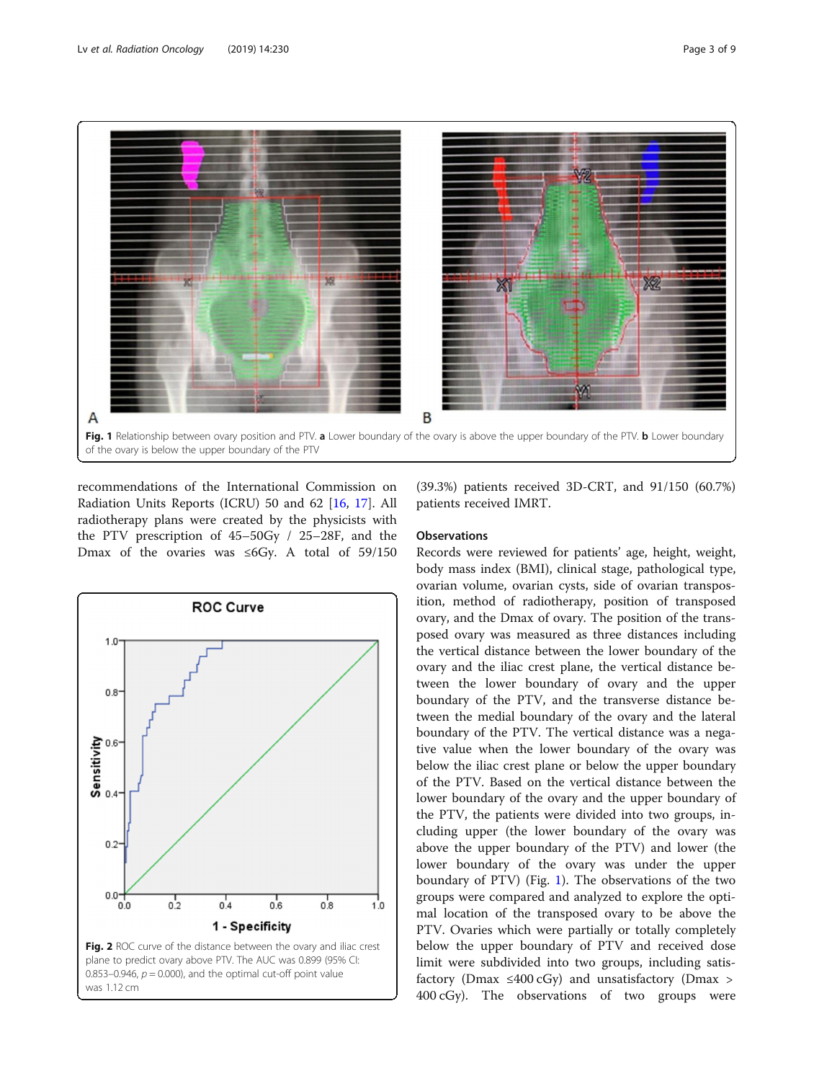<span id="page-2-0"></span>

recommendations of the International Commission on Radiation Units Reports (ICRU) 50 and 62 [[16](#page-7-0), [17](#page-7-0)]. All radiotherapy plans were created by the physicists with the PTV prescription of 45–50Gy / 25–28F, and the Dmax of the ovaries was ≤6Gy. A total of 59/150



(39.3%) patients received 3D-CRT, and 91/150 (60.7%) patients received IMRT.

## **Observations**

Records were reviewed for patients' age, height, weight, body mass index (BMI), clinical stage, pathological type, ovarian volume, ovarian cysts, side of ovarian transposition, method of radiotherapy, position of transposed ovary, and the Dmax of ovary. The position of the transposed ovary was measured as three distances including the vertical distance between the lower boundary of the ovary and the iliac crest plane, the vertical distance between the lower boundary of ovary and the upper boundary of the PTV, and the transverse distance between the medial boundary of the ovary and the lateral boundary of the PTV. The vertical distance was a negative value when the lower boundary of the ovary was below the iliac crest plane or below the upper boundary of the PTV. Based on the vertical distance between the lower boundary of the ovary and the upper boundary of the PTV, the patients were divided into two groups, including upper (the lower boundary of the ovary was above the upper boundary of the PTV) and lower (the lower boundary of the ovary was under the upper boundary of PTV) (Fig. 1). The observations of the two groups were compared and analyzed to explore the optimal location of the transposed ovary to be above the PTV. Ovaries which were partially or totally completely below the upper boundary of PTV and received dose limit were subdivided into two groups, including satisfactory (Dmax  $\leq 400 \text{ cGy}$ ) and unsatisfactory (Dmax > 400 cGy). The observations of two groups were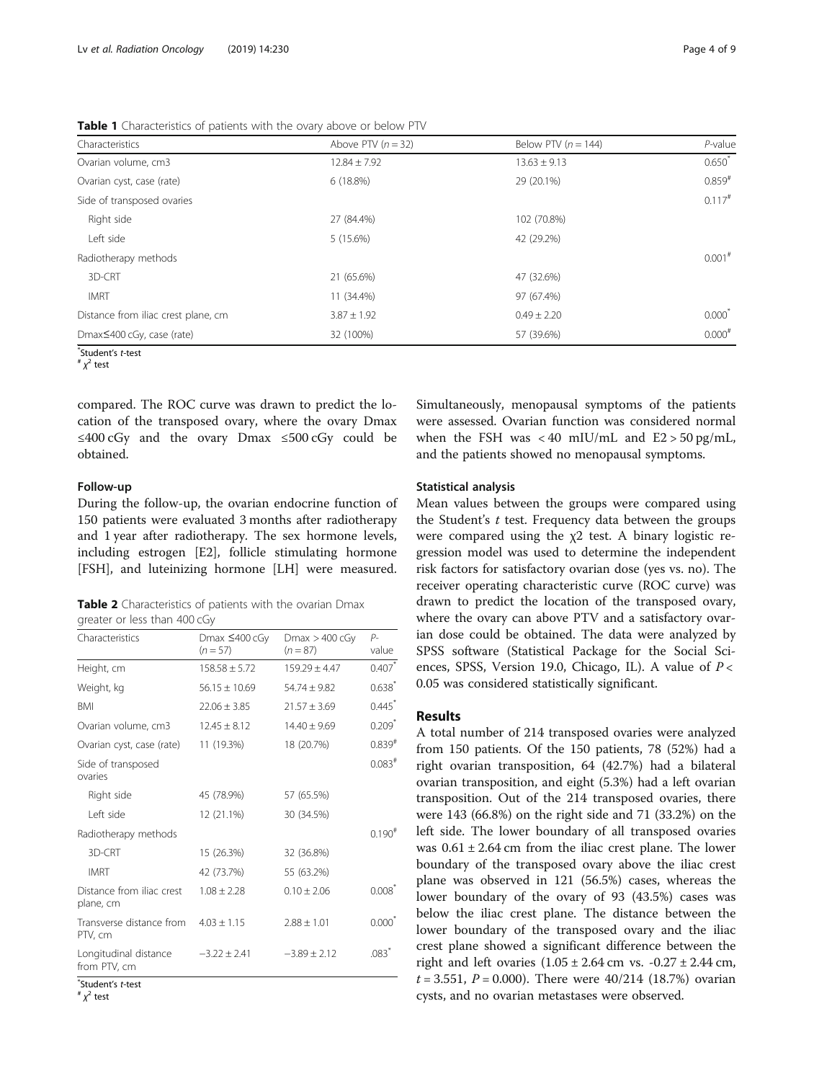<span id="page-3-0"></span>Table 1 Characteristics of patients with the ovary above or below PTV

| Characteristics                     | Above PTV $(n = 32)$ | Below PTV ( $n = 144$ ) | $P$ -value           |
|-------------------------------------|----------------------|-------------------------|----------------------|
| Ovarian volume, cm3                 | $12.84 \pm 7.92$     | $13.63 \pm 9.13$        | $0.650^{*}$          |
| Ovarian cyst, case (rate)           | 6(18.8%)             | 29 (20.1%)              | $0.859$ <sup>#</sup> |
| Side of transposed ovaries          |                      |                         | $0.117$ <sup>#</sup> |
| Right side                          | 27 (84.4%)           | 102 (70.8%)             |                      |
| Left side                           | 5 (15.6%)            | 42 (29.2%)              |                      |
| Radiotherapy methods                |                      |                         | $0.001$ <sup>#</sup> |
| 3D-CRT                              | 21 (65.6%)           | 47 (32.6%)              |                      |
| <b>IMRT</b>                         | 11 (34.4%)           | 97 (67.4%)              |                      |
| Distance from iliac crest plane, cm | $3.87 \pm 1.92$      | $0.49 \pm 2.20$         | $0.000^*$            |
| Dmax≤400 cGy, case (rate)           | 32 (100%)            | 57 (39.6%)              | $0.000^{#}$          |

 $*$ Student's *t*-test<br>#  $\chi^2$  test

compared. The ROC curve was drawn to predict the location of the transposed ovary, where the ovary Dmax ≤400 cGy and the ovary Dmax ≤500 cGy could be obtained.

#### Follow-up

During the follow-up, the ovarian endocrine function of 150 patients were evaluated 3 months after radiotherapy and 1 year after radiotherapy. The sex hormone levels, including estrogen [E2], follicle stimulating hormone [FSH], and luteinizing hormone [LH] were measured.

| Table 2 Characteristics of patients with the ovarian Dmax |  |  |  |
|-----------------------------------------------------------|--|--|--|
| greater or less than 400 cGy                              |  |  |  |

|                                        |                                           |                                | $P-$                 |
|----------------------------------------|-------------------------------------------|--------------------------------|----------------------|
| Characteristics                        | Dmax $\leq 400 \text{ cGy}$<br>$(n = 57)$ | Dmax $>$ 400 cGy<br>$(n = 87)$ | value                |
| Height, cm                             | $158.58 \pm 5.72$                         | $159.29 \pm 4.47$              | $0.407*$             |
| Weight, kg                             | $56.15 \pm 10.69$                         | $54.74 \pm 9.82$               | $0.638^{*}$          |
| <b>BMI</b>                             | $22.06 \pm 3.85$                          | $21.57 \pm 3.69$               | $0.445$ <sup>*</sup> |
| Ovarian volume, cm3                    | $12.45 \pm 8.12$                          | $14.40 \pm 9.69$               | $0.209*$             |
| Ovarian cyst, case (rate)              | 11 (19.3%)                                | 18 (20.7%)                     | $0.839^{#}$          |
| Side of transposed<br>ovaries          |                                           |                                | $0.083$ <sup>#</sup> |
| Right side                             | 45 (78.9%)                                | 57 (65.5%)                     |                      |
| I eft side                             | 12 (21.1%)                                | 30 (34.5%)                     |                      |
| Radiotherapy methods                   |                                           |                                | $0.190^{#}$          |
| 3D-CRT                                 | 15 (26.3%)                                | 32 (36.8%)                     |                      |
| <b>IMRT</b>                            | 42 (73.7%)                                | 55 (63.2%)                     |                      |
| Distance from iliac crest<br>plane, cm | $1.08 \pm 2.28$                           | $0.10 \pm 2.06$                | $0.008^{\degree}$    |
| Transverse distance from<br>PTV, cm    | $4.03 \pm 1.15$                           | $2.88 \pm 1.01$                | $0.000*$             |
| Longitudinal distance<br>from PTV, cm  | $-3.22 \pm 2.41$                          | $-3.89 \pm 2.12$               | $.083$ <sup>*</sup>  |

 $\int_0^{\infty}$ Student's *t*-test<br>#  $\chi^2$  test

 $\chi^2$  test

Simultaneously, menopausal symptoms of the patients were assessed. Ovarian function was considered normal when the FSH was  $\langle 40 \text{ mIU/mL} \rangle$  and  $E2 > 50 \text{ pg/mL}$ , and the patients showed no menopausal symptoms.

#### Statistical analysis

Mean values between the groups were compared using the Student's  $t$  test. Frequency data between the groups were compared using the χ2 test. A binary logistic regression model was used to determine the independent risk factors for satisfactory ovarian dose (yes vs. no). The receiver operating characteristic curve (ROC curve) was drawn to predict the location of the transposed ovary, where the ovary can above PTV and a satisfactory ovarian dose could be obtained. The data were analyzed by SPSS software (Statistical Package for the Social Sciences, SPSS, Version 19.0, Chicago, IL). A value of  $P \lt \theta$ 0.05 was considered statistically significant.

#### Results

A total number of 214 transposed ovaries were analyzed from 150 patients. Of the 150 patients, 78 (52%) had a right ovarian transposition, 64 (42.7%) had a bilateral ovarian transposition, and eight (5.3%) had a left ovarian transposition. Out of the 214 transposed ovaries, there were 143 (66.8%) on the right side and 71 (33.2%) on the left side. The lower boundary of all transposed ovaries was  $0.61 \pm 2.64$  cm from the iliac crest plane. The lower boundary of the transposed ovary above the iliac crest plane was observed in 121 (56.5%) cases, whereas the lower boundary of the ovary of 93 (43.5%) cases was below the iliac crest plane. The distance between the lower boundary of the transposed ovary and the iliac crest plane showed a significant difference between the right and left ovaries (1.05 ± 2.64 cm vs. -0.27 ± 2.44 cm,  $t = 3.551$ ,  $P = 0.000$ . There were 40/214 (18.7%) ovarian cysts, and no ovarian metastases were observed.

 $\pi$   $\chi^2$  test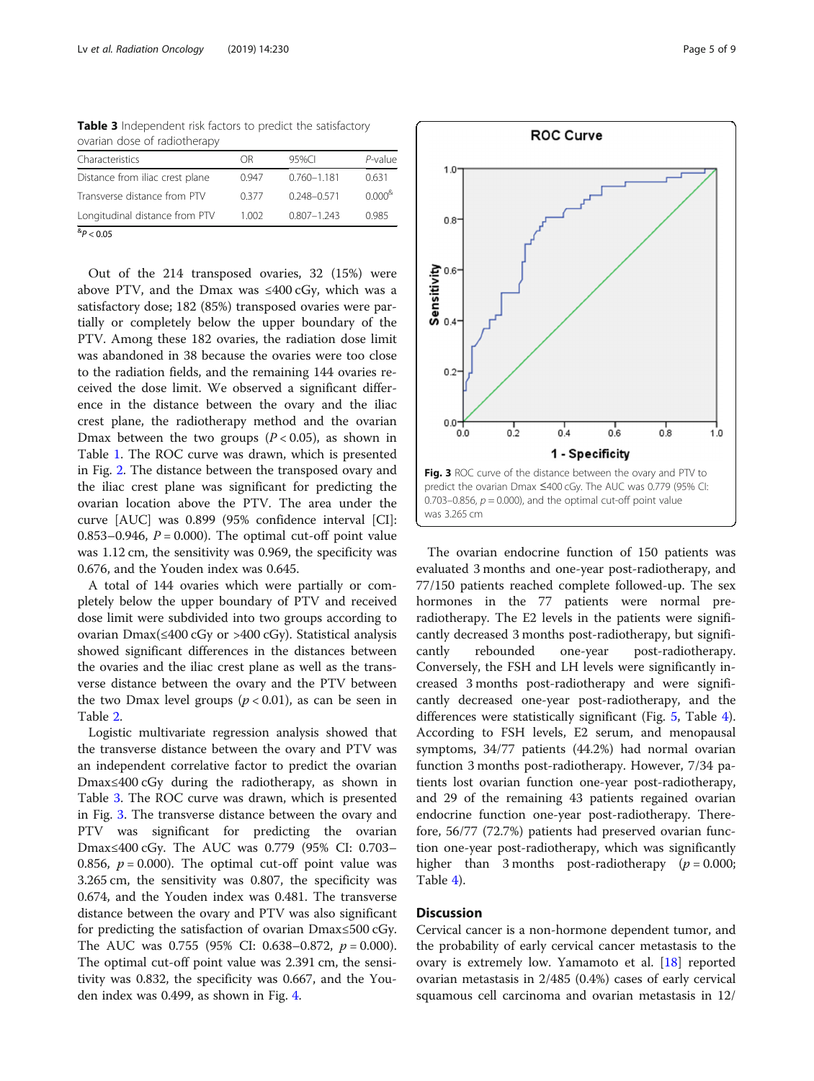Table 3 Independent risk factors to predict the satisfactory ovarian dose of radiotherapy

| Characteristics                 | ΩR    | 95%CI           | $P$ -value  |
|---------------------------------|-------|-----------------|-------------|
| Distance from iliac crest plane | 0.947 | $0.760 - 1.181$ | 0.631       |
| Transverse distance from PTV    | 0377  | $0.248 - 0.571$ | $0.000^{8}$ |
| Longitudinal distance from PTV  | 1.002 | $0.807 - 1.243$ | 0.985       |
| $^{8}P < 0.05$                  |       |                 |             |

Out of the 214 transposed ovaries, 32 (15%) were above PTV, and the Dmax was ≤400 cGy, which was a satisfactory dose; 182 (85%) transposed ovaries were partially or completely below the upper boundary of the PTV. Among these 182 ovaries, the radiation dose limit was abandoned in 38 because the ovaries were too close to the radiation fields, and the remaining 144 ovaries received the dose limit. We observed a significant difference in the distance between the ovary and the iliac crest plane, the radiotherapy method and the ovarian Dmax between the two groups  $(P < 0.05)$ , as shown in Table [1](#page-3-0). The ROC curve was drawn, which is presented in Fig. [2](#page-2-0). The distance between the transposed ovary and the iliac crest plane was significant for predicting the ovarian location above the PTV. The area under the curve [AUC] was 0.899 (95% confidence interval [CI]: 0.853–0.946,  $P = 0.000$ . The optimal cut-off point value was 1.12 cm, the sensitivity was 0.969, the specificity was 0.676, and the Youden index was 0.645.

A total of 144 ovaries which were partially or completely below the upper boundary of PTV and received dose limit were subdivided into two groups according to ovarian Dmax(≤400 cGy or >400 cGy). Statistical analysis showed significant differences in the distances between the ovaries and the iliac crest plane as well as the transverse distance between the ovary and the PTV between the two Dmax level groups  $(p < 0.01)$ , as can be seen in Table [2.](#page-3-0)

Logistic multivariate regression analysis showed that the transverse distance between the ovary and PTV was an independent correlative factor to predict the ovarian Dmax≤400 cGy during the radiotherapy, as shown in Table 3. The ROC curve was drawn, which is presented in Fig. 3. The transverse distance between the ovary and PTV was significant for predicting the ovarian Dmax≤400 cGy. The AUC was 0.779 (95% CI: 0.703– 0.856,  $p = 0.000$ ). The optimal cut-off point value was 3.265 cm, the sensitivity was 0.807, the specificity was 0.674, and the Youden index was 0.481. The transverse distance between the ovary and PTV was also significant for predicting the satisfaction of ovarian Dmax≤500 cGy. The AUC was 0.755 (95% CI: 0.638–0.872,  $p = 0.000$ ). The optimal cut-off point value was 2.391 cm, the sensitivity was 0.832, the specificity was 0.667, and the Youden index was 0.499, as shown in Fig. [4.](#page-5-0)



The ovarian endocrine function of 150 patients was evaluated 3 months and one-year post-radiotherapy, and 77/150 patients reached complete followed-up. The sex hormones in the 77 patients were normal preradiotherapy. The E2 levels in the patients were significantly decreased 3 months post-radiotherapy, but significantly rebounded one-year post-radiotherapy. Conversely, the FSH and LH levels were significantly increased 3 months post-radiotherapy and were significantly decreased one-year post-radiotherapy, and the differences were statistically significant (Fig. [5,](#page-5-0) Table [4](#page-6-0)). According to FSH levels, E2 serum, and menopausal symptoms, 34/77 patients (44.2%) had normal ovarian function 3 months post-radiotherapy. However, 7/34 patients lost ovarian function one-year post-radiotherapy, and 29 of the remaining 43 patients regained ovarian endocrine function one-year post-radiotherapy. Therefore, 56/77 (72.7%) patients had preserved ovarian function one-year post-radiotherapy, which was significantly higher than 3 months post-radiotherapy  $(p = 0.000;$ Table [4\)](#page-6-0).

## **Discussion**

Cervical cancer is a non-hormone dependent tumor, and the probability of early cervical cancer metastasis to the ovary is extremely low. Yamamoto et al. [\[18](#page-7-0)] reported ovarian metastasis in 2/485 (0.4%) cases of early cervical squamous cell carcinoma and ovarian metastasis in 12/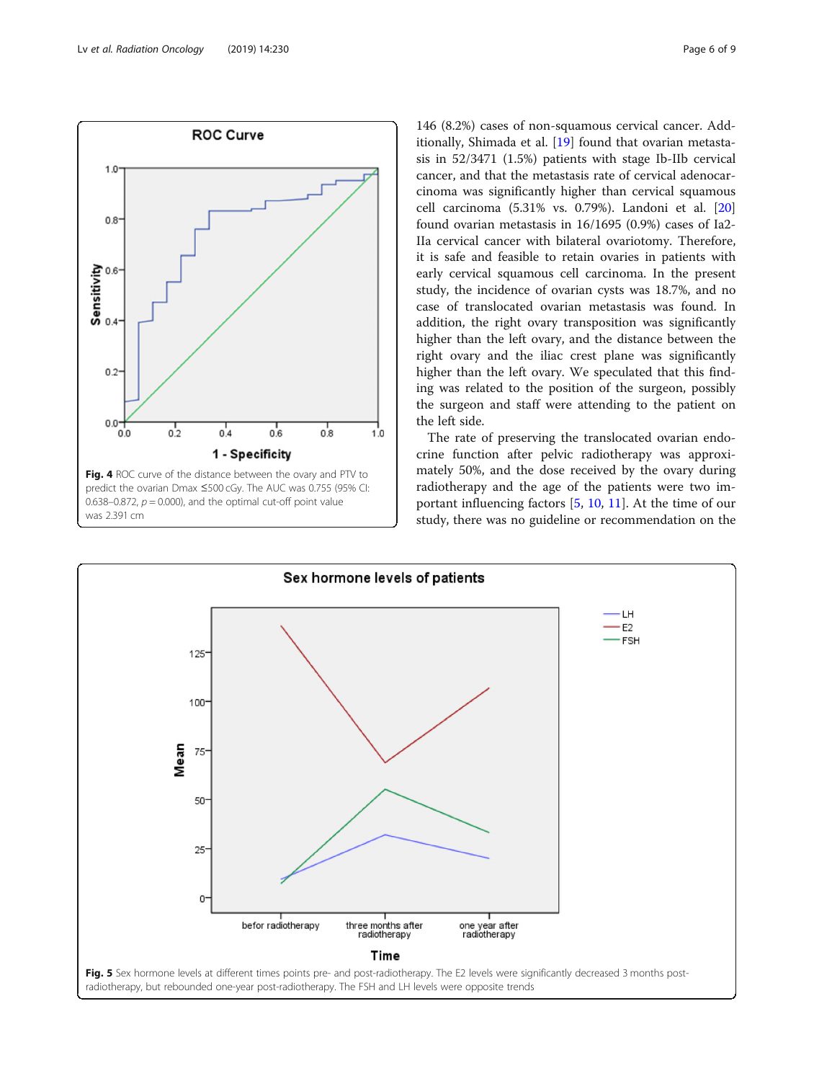<span id="page-5-0"></span>

146 (8.2%) cases of non-squamous cervical cancer. Additionally, Shimada et al. [[19](#page-7-0)] found that ovarian metastasis in 52/3471 (1.5%) patients with stage Ib-IIb cervical cancer, and that the metastasis rate of cervical adenocarcinoma was significantly higher than cervical squamous cell carcinoma (5.31% vs. 0.79%). Landoni et al. [[20](#page-7-0)] found ovarian metastasis in 16/1695 (0.9%) cases of Ia2- IIa cervical cancer with bilateral ovariotomy. Therefore, it is safe and feasible to retain ovaries in patients with early cervical squamous cell carcinoma. In the present study, the incidence of ovarian cysts was 18.7%, and no case of translocated ovarian metastasis was found. In addition, the right ovary transposition was significantly higher than the left ovary, and the distance between the right ovary and the iliac crest plane was significantly higher than the left ovary. We speculated that this finding was related to the position of the surgeon, possibly the surgeon and staff were attending to the patient on the left side.

The rate of preserving the translocated ovarian endocrine function after pelvic radiotherapy was approximately 50%, and the dose received by the ovary during radiotherapy and the age of the patients were two important influencing factors [\[5,](#page-7-0) [10,](#page-7-0) [11\]](#page-7-0). At the time of our study, there was no guideline or recommendation on the

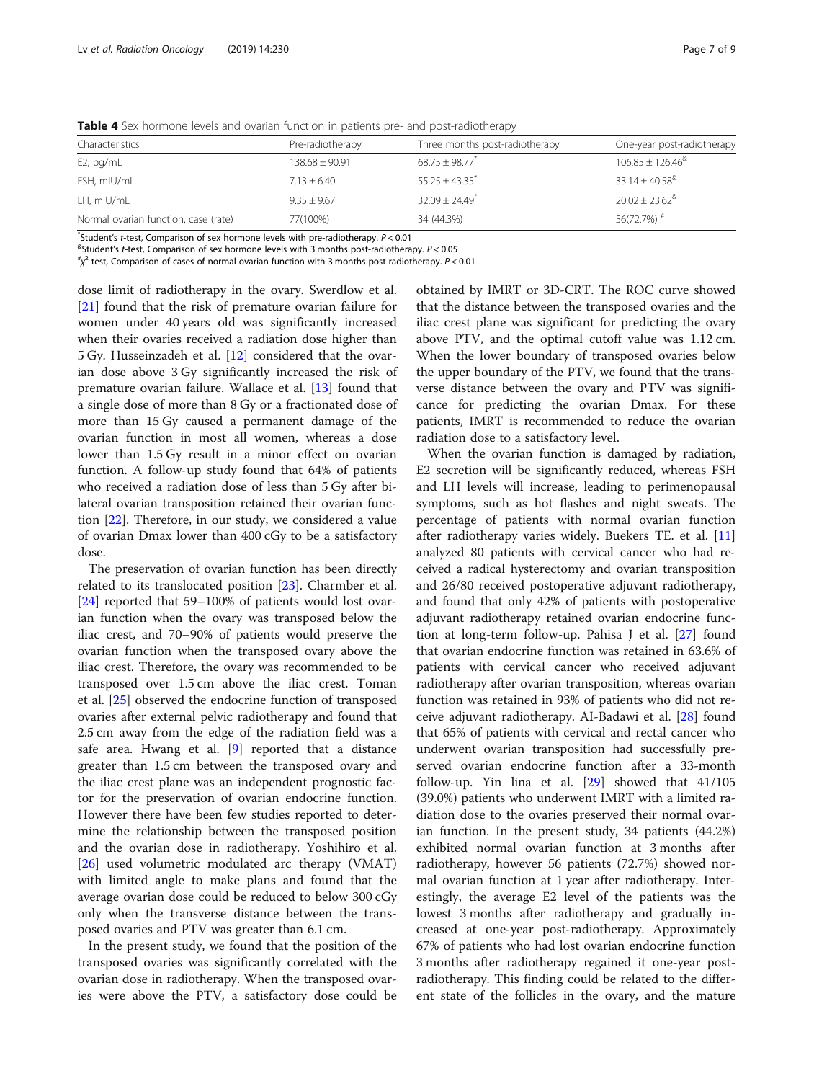| Characteristics                      | Pre-radiotherapy | Three months post-radiotherapy | One-year post-radiotherapy         |
|--------------------------------------|------------------|--------------------------------|------------------------------------|
| $E2$ , pg/mL                         | $138.68 + 90.91$ | $68.75 \pm 98.77$              | $106.85 \pm 126.46^{\text{4}}$     |
| FSH, mIU/mL                          | $7.13 + 6.40$    | $55.25 + 43.35$                | $33.14 + 40.58^{\&}$               |
| LH, mIU/mL                           | $9.35 + 9.67$    | $32.09 + 24.49$ <sup>*</sup>   | $20.02 \pm 23.62$ <sup>&amp;</sup> |
| Normal ovarian function, case (rate) | 77(100%)         | 34 (44.3%)                     | 56(72.7%) $*$                      |

<span id="page-6-0"></span>Table 4 Sex hormone levels and ovarian function in patients pre- and post-radiotherapy

\*Student's t-test, Comparison of sex hormone levels with pre-radiotherapy. P< 0.01<br><sup>&</sup>Student's t-test. Comparison of sex hormone levels with 3 months post-radiothera

 $8$ Student's t-test, Comparison of sex hormone levels with 3 months post-radiotherapy.  $P < 0.05$ 

 $\chi^2$  test, Comparison of cases of normal ovarian function with 3 months post-radiotherapy. P < 0.01

dose limit of radiotherapy in the ovary. Swerdlow et al. [[21\]](#page-7-0) found that the risk of premature ovarian failure for women under 40 years old was significantly increased when their ovaries received a radiation dose higher than 5 Gy. Husseinzadeh et al. [\[12](#page-7-0)] considered that the ovarian dose above 3 Gy significantly increased the risk of premature ovarian failure. Wallace et al. [[13](#page-7-0)] found that a single dose of more than 8 Gy or a fractionated dose of more than 15 Gy caused a permanent damage of the ovarian function in most all women, whereas a dose lower than 1.5 Gy result in a minor effect on ovarian function. A follow-up study found that 64% of patients who received a radiation dose of less than 5 Gy after bilateral ovarian transposition retained their ovarian function [\[22](#page-7-0)]. Therefore, in our study, we considered a value of ovarian Dmax lower than 400 cGy to be a satisfactory dose.

The preservation of ovarian function has been directly related to its translocated position [\[23](#page-8-0)]. Charmber et al. [[24\]](#page-8-0) reported that 59–100% of patients would lost ovarian function when the ovary was transposed below the iliac crest, and 70–90% of patients would preserve the ovarian function when the transposed ovary above the iliac crest. Therefore, the ovary was recommended to be transposed over 1.5 cm above the iliac crest. Toman et al. [[25\]](#page-8-0) observed the endocrine function of transposed ovaries after external pelvic radiotherapy and found that 2.5 cm away from the edge of the radiation field was a safe area. Hwang et al. [[9\]](#page-7-0) reported that a distance greater than 1.5 cm between the transposed ovary and the iliac crest plane was an independent prognostic factor for the preservation of ovarian endocrine function. However there have been few studies reported to determine the relationship between the transposed position and the ovarian dose in radiotherapy. Yoshihiro et al. [[26\]](#page-8-0) used volumetric modulated arc therapy (VMAT) with limited angle to make plans and found that the average ovarian dose could be reduced to below 300 cGy only when the transverse distance between the transposed ovaries and PTV was greater than 6.1 cm.

In the present study, we found that the position of the transposed ovaries was significantly correlated with the ovarian dose in radiotherapy. When the transposed ovaries were above the PTV, a satisfactory dose could be

obtained by IMRT or 3D-CRT. The ROC curve showed that the distance between the transposed ovaries and the iliac crest plane was significant for predicting the ovary above PTV, and the optimal cutoff value was 1.12 cm. When the lower boundary of transposed ovaries below the upper boundary of the PTV, we found that the transverse distance between the ovary and PTV was significance for predicting the ovarian Dmax. For these patients, IMRT is recommended to reduce the ovarian radiation dose to a satisfactory level.

When the ovarian function is damaged by radiation, E2 secretion will be significantly reduced, whereas FSH and LH levels will increase, leading to perimenopausal symptoms, such as hot flashes and night sweats. The percentage of patients with normal ovarian function after radiotherapy varies widely. Buekers TE. et al. [[11](#page-7-0)] analyzed 80 patients with cervical cancer who had received a radical hysterectomy and ovarian transposition and 26/80 received postoperative adjuvant radiotherapy, and found that only 42% of patients with postoperative adjuvant radiotherapy retained ovarian endocrine function at long-term follow-up. Pahisa J et al. [[27\]](#page-8-0) found that ovarian endocrine function was retained in 63.6% of patients with cervical cancer who received adjuvant radiotherapy after ovarian transposition, whereas ovarian function was retained in 93% of patients who did not receive adjuvant radiotherapy. AI-Badawi et al. [\[28\]](#page-8-0) found that 65% of patients with cervical and rectal cancer who underwent ovarian transposition had successfully preserved ovarian endocrine function after a 33-month follow-up. Yin lina et al. [[29\]](#page-8-0) showed that 41/105 (39.0%) patients who underwent IMRT with a limited radiation dose to the ovaries preserved their normal ovarian function. In the present study, 34 patients (44.2%) exhibited normal ovarian function at 3 months after radiotherapy, however 56 patients (72.7%) showed normal ovarian function at 1 year after radiotherapy. Interestingly, the average E2 level of the patients was the lowest 3 months after radiotherapy and gradually increased at one-year post-radiotherapy. Approximately 67% of patients who had lost ovarian endocrine function 3 months after radiotherapy regained it one-year postradiotherapy. This finding could be related to the different state of the follicles in the ovary, and the mature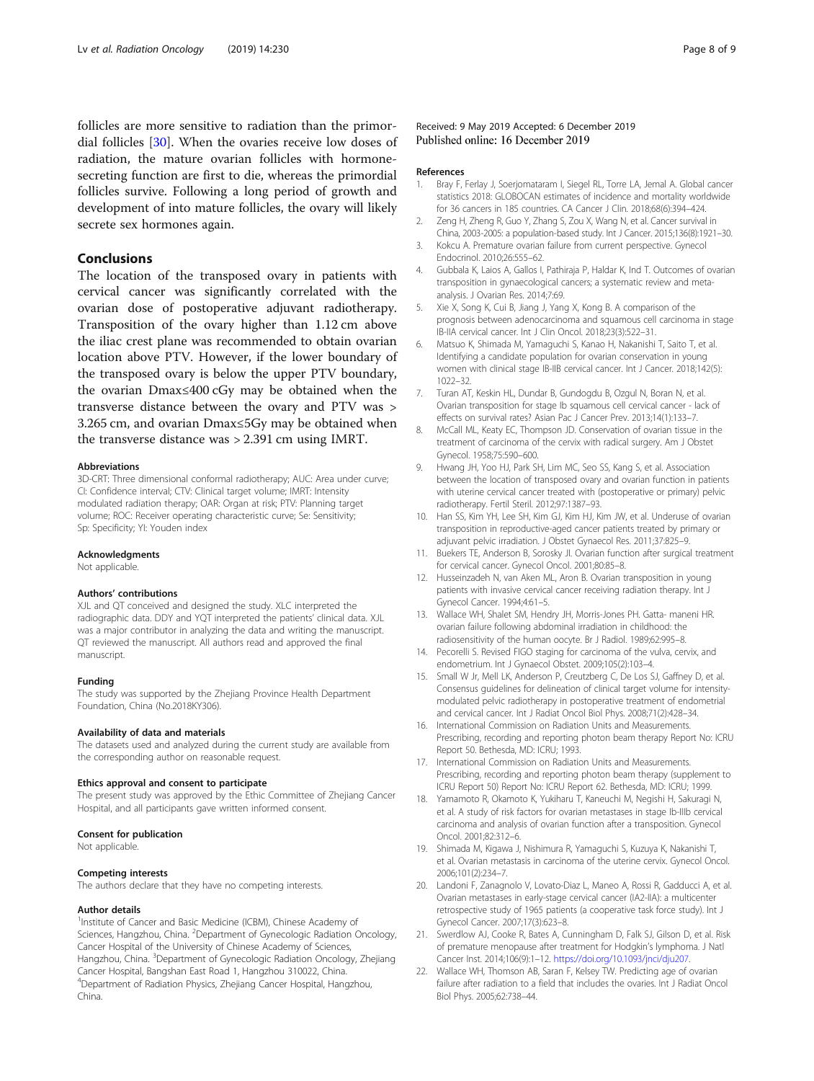<span id="page-7-0"></span>follicles are more sensitive to radiation than the primordial follicles [\[30](#page-8-0)]. When the ovaries receive low doses of radiation, the mature ovarian follicles with hormonesecreting function are first to die, whereas the primordial follicles survive. Following a long period of growth and development of into mature follicles, the ovary will likely secrete sex hormones again.

## Conclusions

The location of the transposed ovary in patients with cervical cancer was significantly correlated with the ovarian dose of postoperative adjuvant radiotherapy. Transposition of the ovary higher than 1.12 cm above the iliac crest plane was recommended to obtain ovarian location above PTV. However, if the lower boundary of the transposed ovary is below the upper PTV boundary, the ovarian Dmax≤400 cGy may be obtained when the transverse distance between the ovary and PTV was > 3.265 cm, and ovarian Dmax≤5Gy may be obtained when the transverse distance was > 2.391 cm using IMRT.

#### Abbreviations

3D-CRT: Three dimensional conformal radiotherapy; AUC: Area under curve; CI: Confidence interval; CTV: Clinical target volume; IMRT: Intensity modulated radiation therapy; OAR: Organ at risk; PTV: Planning target volume; ROC: Receiver operating characteristic curve; Se: Sensitivity; Sp: Specificity; YI: Youden index

#### Acknowledgments

Not applicable.

#### Authors' contributions

XJL and QT conceived and designed the study. XLC interpreted the radiographic data. DDY and YQT interpreted the patients' clinical data. XJL was a major contributor in analyzing the data and writing the manuscript. QT reviewed the manuscript. All authors read and approved the final manuscript.

#### Funding

The study was supported by the Zhejiang Province Health Department Foundation, China (No.2018KY306).

#### Availability of data and materials

The datasets used and analyzed during the current study are available from the corresponding author on reasonable request.

#### Ethics approval and consent to participate

The present study was approved by the Ethic Committee of Zhejiang Cancer Hospital, and all participants gave written informed consent.

#### Consent for publication

Not applicable.

#### Competing interests

The authors declare that they have no competing interests.

#### Author details

<sup>1</sup>Institute of Cancer and Basic Medicine (ICBM), Chinese Academy of Sciences, Hangzhou, China. <sup>2</sup> Department of Gynecologic Radiation Oncology, Cancer Hospital of the University of Chinese Academy of Sciences, Hangzhou, China. <sup>3</sup>Department of Gynecologic Radiation Oncology, Zhejiang Cancer Hospital, Bangshan East Road 1, Hangzhou 310022, China. 4 Department of Radiation Physics, Zhejiang Cancer Hospital, Hangzhou, China.

#### Received: 9 May 2019 Accepted: 6 December 2019 Published online: 16 December 2019

#### References

- 1. Bray F, Ferlay J, Soerjomataram I, Siegel RL, Torre LA, Jemal A. Global cancer statistics 2018: GLOBOCAN estimates of incidence and mortality worldwide for 36 cancers in 185 countries. CA Cancer J Clin. 2018;68(6):394–424.
- 2. Zeng H, Zheng R, Guo Y, Zhang S, Zou X, Wang N, et al. Cancer survival in China, 2003-2005: a population-based study. Int J Cancer. 2015;136(8):1921–30. 3. Kokcu A. Premature ovarian failure from current perspective. Gynecol
- Endocrinol. 2010;26:555–62.
- 4. Gubbala K, Laios A, Gallos I, Pathiraja P, Haldar K, Ind T. Outcomes of ovarian transposition in gynaecological cancers; a systematic review and metaanalysis. J Ovarian Res. 2014;7:69.
- 5. Xie X, Song K, Cui B, Jiang J, Yang X, Kong B. A comparison of the prognosis between adenocarcinoma and squamous cell carcinoma in stage IB-IIA cervical cancer. Int J Clin Oncol. 2018;23(3):522–31.
- 6. Matsuo K, Shimada M, Yamaguchi S, Kanao H, Nakanishi T, Saito T, et al. Identifying a candidate population for ovarian conservation in young women with clinical stage IB-IIB cervical cancer. Int J Cancer. 2018;142(5): 1022–32.
- 7. Turan AT, Keskin HL, Dundar B, Gundogdu B, Ozgul N, Boran N, et al. Ovarian transposition for stage Ib squamous cell cervical cancer - lack of effects on survival rates? Asian Pac J Cancer Prev. 2013;14(1):133–7.
- 8. McCall ML, Keaty EC, Thompson JD. Conservation of ovarian tissue in the treatment of carcinoma of the cervix with radical surgery. Am J Obstet Gynecol. 1958;75:590–600.
- 9. Hwang JH, Yoo HJ, Park SH, Lim MC, Seo SS, Kang S, et al. Association between the location of transposed ovary and ovarian function in patients with uterine cervical cancer treated with (postoperative or primary) pelvic radiotherapy. Fertil Steril. 2012;97:1387–93.
- 10. Han SS, Kim YH, Lee SH, Kim GJ, Kim HJ, Kim JW, et al. Underuse of ovarian transposition in reproductive-aged cancer patients treated by primary or adjuvant pelvic irradiation. J Obstet Gynaecol Res. 2011;37:825–9.
- 11. Buekers TE, Anderson B, Sorosky JI. Ovarian function after surgical treatment for cervical cancer. Gynecol Oncol. 2001;80:85–8.
- 12. Husseinzadeh N, van Aken ML, Aron B. Ovarian transposition in young patients with invasive cervical cancer receiving radiation therapy. Int J Gynecol Cancer. 1994;4:61–5.
- 13. Wallace WH, Shalet SM, Hendry JH, Morris-Jones PH. Gatta- maneni HR. ovarian failure following abdominal irradiation in childhood: the radiosensitivity of the human oocyte. Br J Radiol. 1989;62:995–8.
- 14. Pecorelli S. Revised FIGO staging for carcinoma of the vulva, cervix, and endometrium. Int J Gynaecol Obstet. 2009;105(2):103–4.
- 15. Small W Jr, Mell LK, Anderson P, Creutzberg C, De Los SJ, Gaffney D, et al. Consensus guidelines for delineation of clinical target volume for intensitymodulated pelvic radiotherapy in postoperative treatment of endometrial and cervical cancer. Int J Radiat Oncol Biol Phys. 2008;71(2):428–34.
- 16. International Commission on Radiation Units and Measurements. Prescribing, recording and reporting photon beam therapy Report No: ICRU Report 50. Bethesda, MD: ICRU; 1993.
- 17. International Commission on Radiation Units and Measurements. Prescribing, recording and reporting photon beam therapy (supplement to ICRU Report 50) Report No: ICRU Report 62. Bethesda, MD: ICRU; 1999.
- 18. Yamamoto R, Okamoto K, Yukiharu T, Kaneuchi M, Negishi H, Sakuragi N, et al. A study of risk factors for ovarian metastases in stage Ib-IIIb cervical carcinoma and analysis of ovarian function after a transposition. Gynecol Oncol. 2001;82:312–6.
- 19. Shimada M, Kigawa J, Nishimura R, Yamaguchi S, Kuzuya K, Nakanishi T, et al. Ovarian metastasis in carcinoma of the uterine cervix. Gynecol Oncol. 2006;101(2):234–7.
- 20. Landoni F, Zanagnolo V, Lovato-Diaz L, Maneo A, Rossi R, Gadducci A, et al. Ovarian metastases in early-stage cervical cancer (IA2-IIA): a multicenter retrospective study of 1965 patients (a cooperative task force study). Int J Gynecol Cancer. 2007;17(3):623–8.
- 21. Swerdlow AJ, Cooke R, Bates A, Cunningham D, Falk SJ, Gilson D, et al. Risk of premature menopause after treatment for Hodgkin's lymphoma. J Natl Cancer Inst. 2014;106(9):1–12. <https://doi.org/10.1093/jnci/dju207>.
- 22. Wallace WH, Thomson AB, Saran F, Kelsey TW. Predicting age of ovarian failure after radiation to a field that includes the ovaries. Int J Radiat Oncol Biol Phys. 2005;62:738–44.